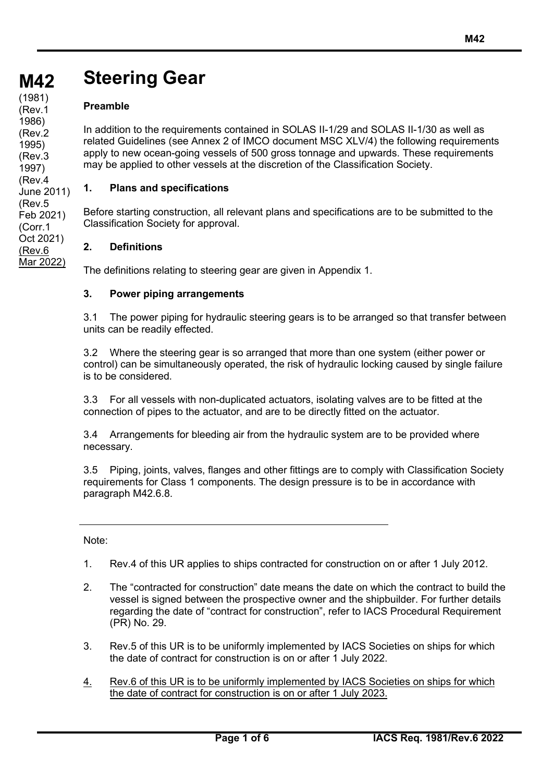# **M42 M42 Steering Gear**

# **Preamble**

**(cont)** (1981)

(Rev.1 1986) (Rev.2 1995) (Rev.3 1997) (Rev.4 June 2011) (Rev.5 Feb 2021) (Corr.1 Oct 2021) (Rev.6 Mar 2022)

In addition to the requirements contained in SOLAS II-1/29 and SOLAS II-1/30 as well as related Guidelines (see Annex 2 of IMCO document MSC XLV/4) the following requirements apply to new ocean-going vessels of 500 gross tonnage and upwards. These requirements may be applied to other vessels at the discretion of the Classification Society.

# **1. Plans and specifications**

Before starting construction, all relevant plans and specifications are to be submitted to the Classification Society for approval.

# **2. Definitions**

The definitions relating to steering gear are given in Appendix 1.

## **3. Power piping arrangements**

3.1 The power piping for hydraulic steering gears is to be arranged so that transfer between units can be readily effected.

3.2 Where the steering gear is so arranged that more than one system (either power or control) can be simultaneously operated, the risk of hydraulic locking caused by single failure is to be considered.

3.3 For all vessels with non-duplicated actuators, isolating valves are to be fitted at the connection of pipes to the actuator, and are to be directly fitted on the actuator.

3.4 Arrangements for bleeding air from the hydraulic system are to be provided where necessary.

3.5 Piping, joints, valves, flanges and other fittings are to comply with Classification Society requirements for Class 1 components. The design pressure is to be in accordance with paragraph M42.6.8.

Note:

1. Rev.4 of this UR applies to ships contracted for construction on or after 1 July 2012.

- 2. The "contracted for construction" date means the date on which the contract to build the vessel is signed between the prospective owner and the shipbuilder. For further details regarding the date of "contract for construction", refer to IACS Procedural Requirement (PR) No. 29.
- 3. Rev.5 of this UR is to be uniformly implemented by IACS Societies on ships for which the date of contract for construction is on or after 1 July 2022.
- 4. Rev.6 of this UR is to be uniformly implemented by IACS Societies on ships for which the date of contract for construction is on or after 1 July 2023.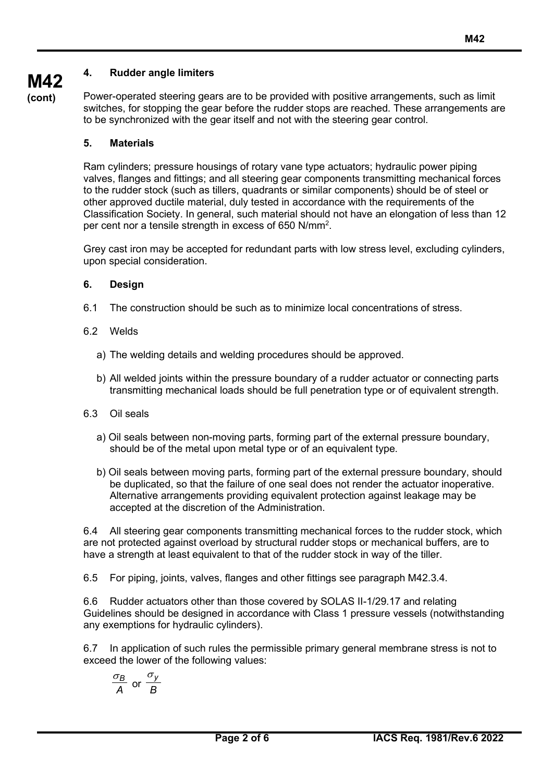# **4. Rudder angle limiters**

**M42 (cont)**

Power-operated steering gears are to be provided with positive arrangements, such as limit switches, for stopping the gear before the rudder stops are reached. These arrangements are to be synchronized with the gear itself and not with the steering gear control.

#### **5. Materials**

Ram cylinders; pressure housings of rotary vane type actuators; hydraulic power piping valves, flanges and fittings; and all steering gear components transmitting mechanical forces to the rudder stock (such as tillers, quadrants or similar components) should be of steel or other approved ductile material, duly tested in accordance with the requirements of the Classification Society. In general, such material should not have an elongation of less than 12 per cent nor a tensile strength in excess of 650 N/mm2 .

Grey cast iron may be accepted for redundant parts with low stress level, excluding cylinders, upon special consideration.

#### **6. Design**

- 6.1 The construction should be such as to minimize local concentrations of stress.
- 6.2 Welds
	- a) The welding details and welding procedures should be approved.
	- b) All welded joints within the pressure boundary of a rudder actuator or connecting parts transmitting mechanical loads should be full penetration type or of equivalent strength.
- 6.3 Oil seals
	- a) Oil seals between non-moving parts, forming part of the external pressure boundary, should be of the metal upon metal type or of an equivalent type.
	- b) Oil seals between moving parts, forming part of the external pressure boundary, should be duplicated, so that the failure of one seal does not render the actuator inoperative. Alternative arrangements providing equivalent protection against leakage may be accepted at the discretion of the Administration.

6.4 All steering gear components transmitting mechanical forces to the rudder stock, which are not protected against overload by structural rudder stops or mechanical buffers, are to have a strength at least equivalent to that of the rudder stock in way of the tiller.

6.5 For piping, joints, valves, flanges and other fittings see paragraph M42.3.4.

6.6 Rudder actuators other than those covered by SOLAS II-1/29.17 and relating Guidelines should be designed in accordance with Class 1 pressure vessels (notwithstanding any exemptions for hydraulic cylinders).

6.7 In application of such rules the permissible primary general membrane stress is not to exceed the lower of the following values:

$$
\frac{\sigma_B}{A} \text{ or } \frac{\sigma_y}{B}
$$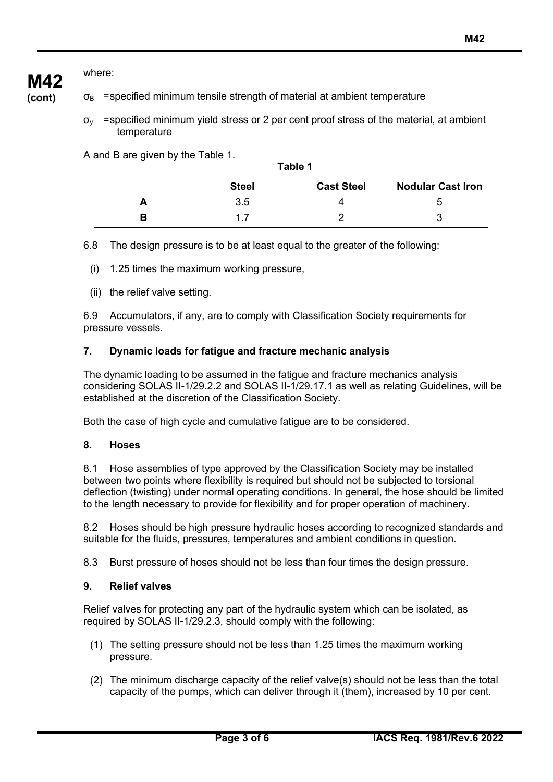# where:

**M42**

**(cont)**  $\sigma_{\rm B}$  =specified minimum tensile strength of material at ambient temperature

> $\sigma_{v}$  =specified minimum vield stress or 2 per cent proof stress of the material, at ambient temperature

A and B are given by the Table 1.

**Table 1**

| <b>Steel</b> | <b>Cast Steel</b> | <b>Nodular Cast Iron</b> |
|--------------|-------------------|--------------------------|
| ن. ب         |                   |                          |
|              |                   |                          |

6.8 The design pressure is to be at least equal to the greater of the following:

- (i) 1.25 times the maximum working pressure,
- (ii) the relief valve setting.

6.9 Accumulators, if any, are to comply with Classification Society requirements for pressure vessels.

# **7. Dynamic loads for fatigue and fracture mechanic analysis**

The dynamic loading to be assumed in the fatigue and fracture mechanics analysis considering SOLAS II-1/29.2.2 and SOLAS II-1/29.17.1 as well as relating Guidelines, will be established at the discretion of the Classification Society.

Both the case of high cycle and cumulative fatigue are to be considered.

## **8. Hoses**

8.1 Hose assemblies of type approved by the Classification Society may be installed between two points where flexibility is required but should not be subjected to torsional deflection (twisting) under normal operating conditions. In general, the hose should be limited to the length necessary to provide for flexibility and for proper operation of machinery.

8.2 Hoses should be high pressure hydraulic hoses according to recognized standards and suitable for the fluids, pressures, temperatures and ambient conditions in question.

8.3 Burst pressure of hoses should not be less than four times the design pressure.

## **9. Relief valves**

Relief valves for protecting any part of the hydraulic system which can be isolated, as required by SOLAS II-1/29.2.3, should comply with the following:

- (1) The setting pressure should not be less than 1.25 times the maximum working pressure.
- (2) The minimum discharge capacity of the relief valve(s) should not be less than the total capacity of the pumps, which can deliver through it (them), increased by 10 per cent.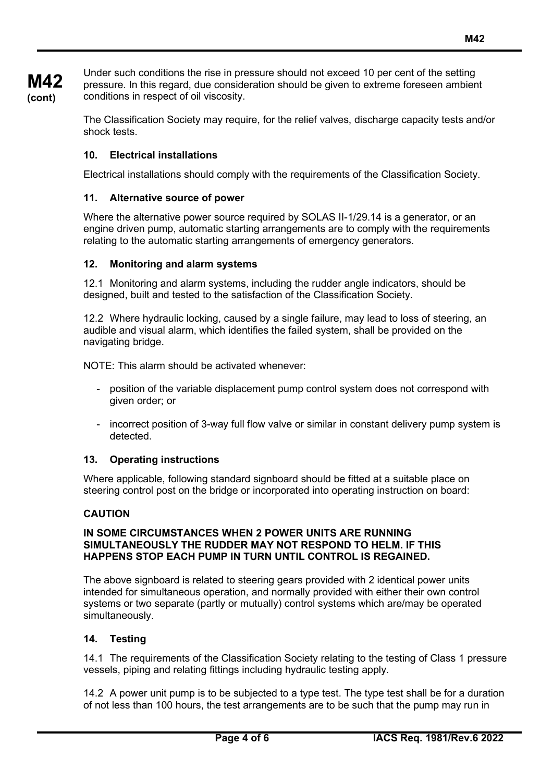**M42**

**M42 (cont)** Under such conditions the rise in pressure should not exceed 10 per cent of the setting pressure. In this regard, due consideration should be given to extreme foreseen ambient conditions in respect of oil viscosity.

> The Classification Society may require, for the relief valves, discharge capacity tests and/or shock tests.

# **10. Electrical installations**

Electrical installations should comply with the requirements of the Classification Society.

### **11. Alternative source of power**

Where the alternative power source required by SOLAS II-1/29.14 is a generator, or an engine driven pump, automatic starting arrangements are to comply with the requirements relating to the automatic starting arrangements of emergency generators.

#### **12. Monitoring and alarm systems**

12.1 Monitoring and alarm systems, including the rudder angle indicators, should be designed, built and tested to the satisfaction of the Classification Society.

12.2 Where hydraulic locking, caused by a single failure, may lead to loss of steering, an audible and visual alarm, which identifies the failed system, shall be provided on the navigating bridge.

NOTE: This alarm should be activated whenever:

- position of the variable displacement pump control system does not correspond with given order; or
- incorrect position of 3-way full flow valve or similar in constant delivery pump system is detected.

## **13. Operating instructions**

Where applicable, following standard signboard should be fitted at a suitable place on steering control post on the bridge or incorporated into operating instruction on board:

#### **CAUTION**

#### **IN SOME CIRCUMSTANCES WHEN 2 POWER UNITS ARE RUNNING SIMULTANEOUSLY THE RUDDER MAY NOT RESPOND TO HELM. IF THIS HAPPENS STOP EACH PUMP IN TURN UNTIL CONTROL IS REGAINED.**

The above signboard is related to steering gears provided with 2 identical power units intended for simultaneous operation, and normally provided with either their own control systems or two separate (partly or mutually) control systems which are/may be operated simultaneously.

#### **14. Testing**

14.1 The requirements of the Classification Society relating to the testing of Class 1 pressure vessels, piping and relating fittings including hydraulic testing apply.

14.2 A power unit pump is to be subjected to a type test. The type test shall be for a duration of not less than 100 hours, the test arrangements are to be such that the pump may run in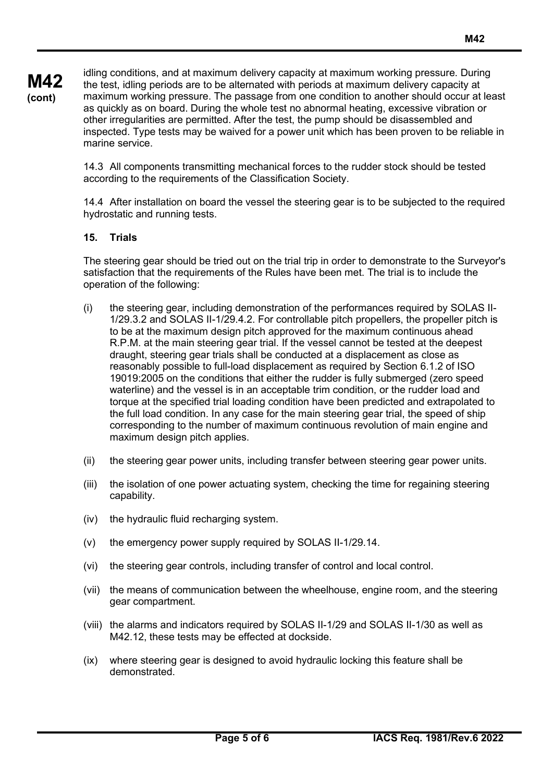idling conditions, and at maximum delivery capacity at maximum working pressure. During the test, idling periods are to be alternated with periods at maximum delivery capacity at maximum working pressure. The passage from one condition to another should occur at least as quickly as on board. During the whole test no abnormal heating, excessive vibration or other irregularities are permitted. After the test, the pump should be disassembled and inspected. Type tests may be waived for a power unit which has been proven to be reliable in marine service.

14.3 All components transmitting mechanical forces to the rudder stock should be tested according to the requirements of the Classification Society.

14.4 After installation on board the vessel the steering gear is to be subjected to the required hydrostatic and running tests.

## **15. Trials**

The steering gear should be tried out on the trial trip in order to demonstrate to the Surveyor's satisfaction that the requirements of the Rules have been met. The trial is to include the operation of the following:

- (i) the steering gear, including demonstration of the performances required by SOLAS II-1/29.3.2 and SOLAS II-1/29.4.2. For controllable pitch propellers, the propeller pitch is to be at the maximum design pitch approved for the maximum continuous ahead R.P.M. at the main steering gear trial. If the vessel cannot be tested at the deepest draught, steering gear trials shall be conducted at a displacement as close as reasonably possible to full-load displacement as required by Section 6.1.2 of ISO 19019:2005 on the conditions that either the rudder is fully submerged (zero speed waterline) and the vessel is in an acceptable trim condition, or the rudder load and torque at the specified trial loading condition have been predicted and extrapolated to the full load condition. In any case for the main steering gear trial, the speed of ship corresponding to the number of maximum continuous revolution of main engine and maximum design pitch applies.
- (ii) the steering gear power units, including transfer between steering gear power units.
- (iii) the isolation of one power actuating system, checking the time for regaining steering capability.
- (iv) the hydraulic fluid recharging system.
- (v) the emergency power supply required by SOLAS II-1/29.14.
- (vi) the steering gear controls, including transfer of control and local control.
- (vii) the means of communication between the wheelhouse, engine room, and the steering gear compartment.
- (viii) the alarms and indicators required by SOLAS II-1/29 and SOLAS II-1/30 as well as M42.12, these tests may be effected at dockside.
- (ix) where steering gear is designed to avoid hydraulic locking this feature shall be demonstrated.